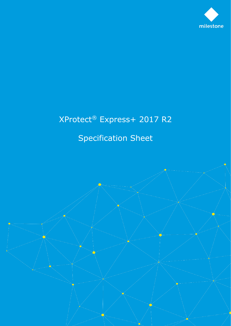

## XProtect® Express+ 2017 R2

## Specification Sheet

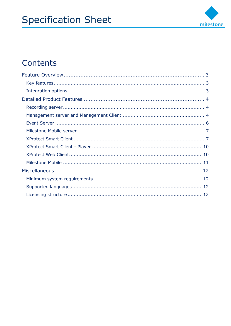

## Contents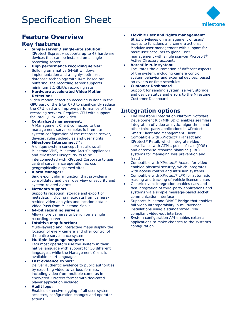

## <span id="page-2-0"></span>**Feature Overview Key features**

- <span id="page-2-1"></span>• **Single-server / single-site solution:** XProtect Express+ supports up to 48 hardware devices that can be installed on a single recording server
- **High performance recording server:** Building on a native 64-bit windows implementation and a highly-optimized database technology with RAM-based prebuffering, the recording server supports minimum 3.1 Gbit/s recording rate
- **Hardware accelerated Video Motion Detection:**

Video motion detection decoding is done in the GPU part of the Intel CPU to significantly reduce the CPU load and improve performance of the recording servers. Requires CPU with support for Intel Quick Sync Video.

- **Centralized management:** A Management Client connected to the management server enables full remote system configuration of the recording server, devices, rules, schedules and user rights
- **Milestone Interconnect™:** A unique system concept that allows all Milestone VMS, Milestone Arcus™ appliances and Milestone Husky™ NVRs to be interconnected with XProtect Corporate to gain central surveillance operation across geographically dispersed sites
- **Alarm Manager:** Single-point alarm function that provides a consolidated and clear overview of security and system-related alarms
- **Metadata support:** Supports reception, storage and export of metadata, including metadata from cameraresided video analytics and location data in Video Push from Milestone Mobile
- **64-bit recording servers:** Allow more cameras to be run on a single recording server
- **Intuitive map function:** Multi-layered and interactive maps display the location of every camera and offer control of the entire surveillance system
- **Multiple language support:**  Lets most operators use the system in their native language with support for 30 different languages, while the Management Client is available in 14 languages
- **Fast evidence export:**  Deliver authentic evidence to public authorities by exporting video to various formats, including video from multiple cameras in encrypted XProtect format with dedicated player application included
- **Audit logs:**  Enables extensive logging of all user system accesses, configuration changes and operator actions
- **Flexible user and rights management:**  Strict privileges on management of users' access to functions and camera actions. Modular user management with support for basic user accounts to global user management with single sign-on Microsoft® Active Directory accounts.
- **Versatile rule system:** Facilitates the automation of different aspects of the system, including camera control, system behavior and external devices, based on events or time schedules
- **Customer Dashboard** Support for sending system, server, storage and device status and errors to the Milestone Customer Dashboard

## <span id="page-2-2"></span>**Integration options**

- The Milestone Integration Platform Software Development Kit (MIP SDK) enables seamless integration of video analytics algorithms and other third-party applications in XProtect Smart Client and Management Client
- Compatible with XProtect® Transact and XProtect® Retail, which integrate video surveillance with ATMs, point-of-sale (POS) and enterprise resource planning (ERP) systems for managing loss prevention and fraud
- Compatible with XProtect® Access for video enabled physical security, which integrates with access control and intrusion systems
- Compatible with XProtect® LPR for automatic reading and tracking of vehicle license plates
- Generic event integration enables easy and fast integration of third-party applications and systems via a simple message-based socket communication interface
- Supports Milestone ONVIF Bridge that enables full video interoperability in multivendor installations using a standardized ONVIF compliant video-out interface
- System configuration API enables external applications to make changes to the system's configuration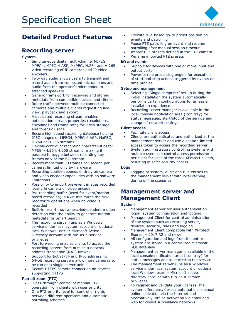

## <span id="page-3-0"></span>**Detailed Product Features**

## <span id="page-3-1"></span>**Recording server**

#### **System**

- Simultaneous digital multi-channel MJPEG, MPEG4, MPEG-4 ASP, MxPEG, H.264 and H.265 video recording of IP cameras and IP video encoders
- Two-way audio allows users to transmit and record audio from connected microphones and audio from the operator's microphone to attached speakers
- Generic framework for receiving and storing metadata from compatible devices and clients
- Route traffic between multiple connected cameras and multiple clients requesting live view, playback and export
- A dedicated recording stream enables optimization stream properties (resolutions, encodings and frame rate) for video storage and forensic usage
- Secure high speed recording database holding JPEG images or MPEG4, MPEG-4 ASP, MxPEG, H.264 or H.265 streams
- Flexible control of recording characteristics for MPEG4/H.264/H.265 streams, making it possible to toggle between recording key frames only or the full stream
- Record more than 30 frames per second per camera, limited only by hardware
- Recording quality depends entirely on camera and video encoder capabilities with no software limitations
- Possibility to import pre-event images recorded locally in camera or video encoder
- Pre-recording buffer (used for event/motion based recording) in RAM minimizes the disk read/write operations when no video is recorded
- Built-in, real-time, camera-independent motion detection with the ability to generate motion metadata for Smart Search
- The recording server runs as a Windows service under local system account or optional local Windows user or Microsoft Active Directory account with run-as-a-service privileges
- Port forwarding enables clients to access the recording servers from outside a network address translation (NAT) firewall
- Support for both IPv4 and IPv6 addressing
- 64-bit recording servers allow more cameras to be run on a single server unit
- Secure HTTPS camera connection on devices supporting HTTPS

#### **Pan-tilt-zoom (PTZ)**

- "Pass-through" control of manual PTZ operation from clients with user priority
- One PTZ priority level for control of rights between different operators and automatic patrolling schemes
- Execute rule-based go-to preset position on events and patrolling
- Pause PTZ patrolling on event and resume patrolling after manual session timeout
- Import PTZ presets defined in the PTZ camera
- Rename imported PTZ presets

#### **I/O and events**

- Support for devices with one or more input and output ports
- Powerful rule processing engine for execution of start and stop actions triggered by events or time profiles

#### **Setup and management**

- Selecting "Single computer" set up during the initial installation the system automatically performs certain configurations for an easier installation experience
- Recording server manager is available in the local console notification area (icon tray) for status messages, start/stop of the service and change of network settings

#### **Client access**

- Facilitate client access
- Clients are authenticated and authorized at the management server and use a session-limited access token to access the recording server
- System administrators controlling systems with multiple users can control access permission per client for each of the three XProtect clients, resulting in safer security access

#### **Logs**

• Logging of system, audit and rule entries to the management server with local caching during offline scenarios

### <span id="page-3-2"></span>**Management server and Management Client**

#### **System**

- Management server for user authentication logon, system configuration and logging
- Management Client for central administration of the system such as recording server, devices, security, rules and logging
- Management Client compatible with XProtect Express+ 2017 R2 and newer
- All configuration and logs from the entire system are stored in a centralized Microsoft SQL database
- Management server manager is available in the local console notification area (icon tray) for status messages and to start/stop the service
- The management server runs as a Windows service under local system account or optional local Windows user or Microsoft active directory account with run-as-a-service privileges
- To register and validate your licenses, the system offers easy-to-use automatic or manual online activation via the Internet and alternatively, offline activation via email and web for closed surveillance networks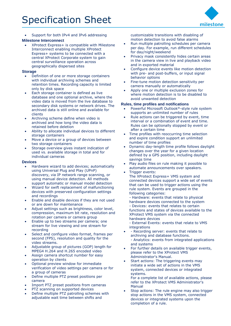• Support for both IPv4 and IPv6 addressing

#### **Milestone Interconnect**

• XProtect Express+ is compatible with Milestone Interconnect enabling multiple XProtect Express+ systems to be connected with a central XProtect Corporate system to gain central surveillance operation across geographically dispersed sites

#### **Storage**

- Definition of one or more storage containers with individual archiving schemes and retention times. Recording capacity is limited only by disk space
- Each storage container is defined as live database and one optional archive, where the video data is moved from the live database to secondary disk systems or network drives. The archived data is still online and available for clients
- Archiving scheme define when video is archived and how long the video data is retained before deletion
- Ability to allocate individual devices to different storage containers
- Move a device or a group of devices between two storage containers
- Storage overview gives instant indication of used vs. available storage in total and for individual cameras

#### **Devices**

- Hardware wizard to add devices; automatically using Universal Plug and Play (UPnP) discovery, via IP network range scanning, or using manual device detection. All methods support automatic or manual model detection
- Wizard for swift replacement of malfunctioning devices with preserved configuration settings and recordings
- Enable and disable devices if they are not used or are down for maintenance
- Adjust settings such as brightness, color level, compression, maximum bit rate, resolution and rotation per camera or camera group
- Enable up to two streams per camera; one stream for live viewing and one stream for recording
- Select and configure video format, frames per second (FPS), resolution and quality for the video streams.
- Adjustable group of pictures (GOP) length for MPEG4 H.264 and H.265 encoded video
- Assign camera shortcut number for easy operation by clients
- Optional preview window for immediate verification of video settings per camera or for a group of cameras
- Define multiple PTZ preset positions per camera
- Import PTZ preset positions from cameras
- PTZ scanning on supported devices
- Define multiple PTZ patrolling schemes with adjustable wait time between shifts and

customizable transitions with disabling of motion detection to avoid false alarms

- Run multiple patrolling schedules per camera per day. For example, run different schedules for day/night/weekend
- Privacy mask consistently hides certain areas in the camera view in live and playback video and in exported material
- Configure device events like motion detection with pre- and post-buffers, or input signal behavior options
- Fine-tune motion detection sensitivity per camera manually or automatically
- Apply one or multiple exclusion zones for where motion detection is to be disabled to avoid unwanted detection

#### **Rules, time profiles and notifications**

- Powerful Microsoft Outlook®-style rule system supports an unlimited number of rules
- Rule actions can be triggered by event, time interval or a combination of event and time. Rules can be optionally stopped by event or after a certain time
- Time profiles with reoccurring time selection and expire condition support an unlimited number of time profiles
- Dynamic day-length time profile follows daylight changes over the year for a given location defined by a GPS position, including daylight savings time
- Play audio files on rule making it possible to automate announcements over speakers.
	- Trigger events: The XProtect Express+ VMS system and
	- connected devices support a wide set of events that can be used to trigger actions using the rule system. Events are grouped in the following categories:
	- Hardware: events that relate to physical hardware devices connected to the system - Devices: events that relates to certain functions and states of devices available to the XProtect VMS system via the connected hardware devices
	- External Events: events that relate to VMS **integrations**
- Recording server: events that relate to archiving and database functions. - Analytics: events from integrated applications and systems
- For further details on available trigger events, please refer to the XProtect VMS Administrator's Manual.
- Start actions: The triggering events may initiate a wide set of actions in the VMS system, connected devices or integrated systems.
	- For a complete list of available actions, please refer to the XProtect VMS Administrator's Manual
- Stop actions: The rule engine may also trigger stop actions in the VMS system, connected devices or integrated systems upon the completion of a rule.

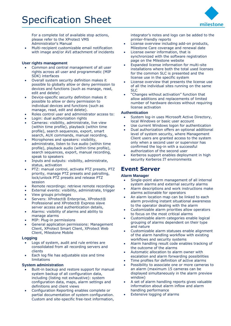For a complete list of available stop actions, please refer to the XProtect VMS Administrator's Manual

• Multi-recipient customizable email notification with image and/or AVI attachment of incidents

#### **User rights management**

- Common and central management of all user rights across all user and programmatic (MIP SDK) interfaces
- Overall system security definition makes it possible to globally allow or deny permission to devices and functions (such as manage, read, edit and delete)
- Device-specific security definition makes it possible to allow or deny permission to individual devices and functions (such as manage, read, edit and delete).
- Roles control user and administrator access to:
- Login: dual authorization rights
- Cameras: visibility, administrate, live view (within time profile), playback (within time profile), search sequences, export, smart search, AUX commands, manual recording,
- Microphones and speakers: visibility, administrate, listen to live audio (within time profile), playback audio (within time profile), search sequences, export, manual recording, speak to speakers
- Inputs and outputs: visibility, administrate, status, activation
- PTZ: manual control, activate PTZ presets, PTZ priority, manage PTZ presets and patrolling, lock/unlock PTZ presets and release PTZ session
- Remote recordings: retrieve remote recordings
- External events: visibility, administrate, trigger
- View groups privileges
- Servers: XProtect® Enterprise, XProtect® Professional and XProtect® Express slave server access and authentication details,
- Alarms: visibility of alarms and ability to manage alarms
- MIP: Plug-in permissions
- General application permissions: Management Client, XProtect Smart Client, XProtect Web Client, Milestone Mobile

#### **Logging**

- Logs of system, audit and rule entries are consolidated from all recording servers and clients
- Each log file has adjustable size and time limitations

#### **System administration**

- Built-in backup and restore support for manual system backup of all configuration data, including (listing not exhaustive): system configuration data, maps, alarm settings and definitions and client views
- Configuration Reporting enables complete or partial documentation of system configuration. Custom and site-specific free-text information,

integrator's notes and logo can be added to the printer-friendly reports

- License overview including add-on products, Milestone Care coverage and renewal date
- License owner information, that is synchronized with the software registration page on the Milestone website
- Expanded license information for multi-site installations where both the total used licenses for the common SLC is presented and the license use in the specific system
- License overview that presents the license use of all the individual sites running on the same SLC
- "Changes without activation" function that allow additions and replacements of limited number of hardware devices without requiring license activation

#### **Authentication**

- System log-in uses Microsoft Active Directory, local Windows or basic user account
- Use current Windows logon for authentication
- Dual authorization offers an optional additional level of system security, where Management Client users are granted access to the system only when a second user or supervisor has confirmed the log-in with a successful authorization of the second user
- Kerberos support enables deployment in high security Kerberos IT environments

### <span id="page-5-0"></span>**Event Server**

#### **Alarm Manager**

- Single-point alarm management of all internal system alarms and external security alarms
- Alarm descriptions and work instructions make alarms actionable for operators
- An alarm location map can be linked to each alarm providing instant situational awareness to the operator dealing with the alarm
- Customizable alarm priorities allow operators to focus on the most critical alarms
- Customizable alarm categories enable logical grouping of alarms dependent on their type and nature
- Customizable alarm statuses enable alignment of the alarm handling workflow with existing workflows and security systems
- Alarm handling result code enables tracking of the outcome of the alarms
- Automatic allocation to alarm owner with escalation and alarm forwarding possibilities
- Time profiles for definition of active alarms
- Possibility to associate one or more cameras to an alarm (maximum 15 cameras can be displayed simultaneously in the alarm preview window)
- A set of alarm handling reports gives valuable information about alarm inflow and alarm handling performance
- Extensive logging of alarms

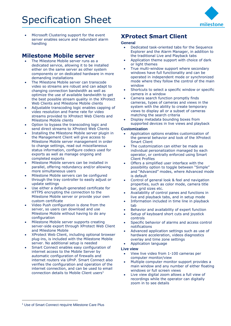

Microsoft Clustering support for the event server enables secure and redundant alarm handling

### <span id="page-6-0"></span>**Milestone Mobile server**

- The Milestone Mobile server runs as a dedicated service, allowing it to be installed either on the same server as other system components or on dedicated hardware in more demanding installations
- The Milestone Mobile server can transcode video so streams are robust and can adapt to changing connection bandwidth as well as optimize the use of available bandwidth to get the best possible stream quality in the XProtect Web Clients and Milestone Mobile clients
- Adjustable transcoding logic enables capping of video resolution and frame rate for video streams provided to XProtect Web Clients and Milestone Mobile clients
- Option to bypass the transcoding logic and send direct streams to XProtect Web Clients
- Installing the Milestone Mobile server plugin in the Management Client will give access to Milestone Mobile server management in order to change settings, read out miscellaneous status information, configure codecs used for exports as well as manage ongoing and completed exports
- Milestone Mobile servers can be installed in parallel, offering redundancy and/or allowing more simultaneous users
- Milestone Mobile servers can be configured through the tray controller to easily adjust or update settings
- Use either a default-generated certificate for HTTPS encrypting the connection to the Milestone Mobile server or provide your own custom certificate
- Video Push configuration is done from the server, so users can download and use Milestone Mobile without having to do any configuration
- Milestone Mobile server supports creating server-side export through XProtect Web Client and Milestone Mobile
- XProtect Web Client, including optional browser plug-ins, is included with the Milestone Mobile server. No additional setup is needed
- Smart Connect enables easy configuration of internet access to the Mobile Server by automatic configuration of firewalls and internet routers via UPnP. Smart Connect also verifies the configuration and operation of the internet connection, and can be used to email connection details to Mobile Client users<sup>1</sup>

## <span id="page-6-1"></span>**XProtect Smart Client**

#### **General**

- Dedicated task-oriented tabs for the Sequence Explorer and the Alarm Manager, in addition to the traditional Live and Playback tabs
- Application theme support with choice of dark or light themes
- True multi-window support where secondary windows have full functionality and can be operated in independent mode or synchronized mode where they follow the control of the main window
- Shortcuts to select a specific window or specific camera in a window
- Camera search function promptly finds cameras, types of cameras and views in the system with the ability to create temporary views to display all or a subset of cameras matching the search criteria
- Display metadata bounding boxes from supported devices in live views and playback

#### **Customization**

- Application options enables customization of the general behavior and look of the XProtect Smart Client
- The customization can either be made as individual personalization managed by each operator, or centrally enforced using Smart Client Profiles
- Offers a simplified user interface with the possibility option to toggle between "Simple" and "Advanced" modes, where Advanced mode is default
- Control of general look & feel and navigation properties, such as color mode, camera title bar, grid sizes etc.
- Availability of control panes and functions in live and playback tabs, and in setup mode
- Information included in time line in playback tab
- Behavior and availability of expert function
- Setup of keyboard short cuts and joystick controls
- Specific behavior of alarms and access control notifications
- Advanced application settings such as use of hardware acceleration, videos diagnostics overlay and time zone settings
- Application language

#### **Live view**

- View live video from 1-100 cameras per computer monitor/view
- Multiple computer monitor support provides a main window and any number of either floating windows or full screen views
- Live view digital zoom allows a full view of recordings while the operator can digitally zoom in to see details

-

<sup>&</sup>lt;sup>1</sup> Use of Smart Connect require Milestone Care Plus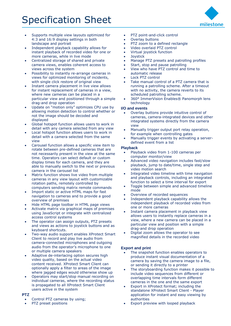- Supports multiple view layouts optimized for 4:3 and 16:9 display settings in both landscape and portrait
- Independent playback capability allows for instant playback of recorded video for one or more cameras, while in live mode
- Centralized storage of shared and private camera views, enables coherent access to views across the system
- Possibility to instantly re-arrange cameras in views for optimized monitoring of incidents, with single click restore of original view
- Instant camera placement in live view allows for instant replacement of cameras in a view, where new cameras can be placed in a particular view and positioned through a simple drag-and drop operation
- Update on "motion only" optimizes CPU use by allowing motion detection to control whether or not the image should be decoded and displayed
- Global hotspot function allows users to work in detail with any camera selected from any view
- Local hotspot function allows users to work in detail with a camera selected from the same view
- Carousel function allows a specific view item to rotate between pre-defined cameras that are not necessarily present in the view at the same time. Operators can select default or custom display times for each camera, and they are able to manually switch to the next or previous camera in the carousel list
- Matrix function shows live video from multiple cameras in any view layout with customizable rotation paths, remotely controlled by computers sending matrix remote commands
- Import static or active HTML maps for fast navigation to cameras and to provide a good overview of premises
- Hide HTML page toolbar in HTML page views
- Activate matrix via graphical maps of premises using JavaScript or integrate with centralized access control systems
- The operator can assign outputs, PTZ presets and views as actions to joystick buttons and as keyboard shortcuts.
- Two-way audio support enables XProtect Smart Client to record and play live audio from camera-connected microphones and outgoing audio from the operator's microphone to one or multiple camera speakers
- Adaptive de-interlacing option secures high video quality, based on the actual video content received. XProtect Smart Client can optionally apply a filter to areas of the image where jagged edges would otherwise show up
- Operators may start/stop manual recording on individual cameras, where the recording status is propagated to all XProtect Smart Client users active in the system

#### **PTZ**

- Control PTZ cameras by using;
- PTZ preset positions
- PTZ point-and-click control
- Overlay buttons
- PTZ zoom to a defined rectangle
- Video overlaid PTZ control
- Virtual joystick function
- Joystick
- Manage PTZ presets and patrolling profiles
- Start, stop and pause patrolling
- View who have PTZ control and time to automatic release
- Lock PTZ control
- Take manual control of a PTZ camera that is running a patrolling scheme. After a timeout with no activity, the camera reverts to its scheduled patrolling scheme.
- 360° ImmerVision Enables® Panomorph lens technology

#### **I/O and events**

- Overlay buttons provide intuitive control of cameras, camera-integrated devices and other integrated systems directly from the camera view
- Manually trigger output port relay operation, for example when controlling gates
- Manually trigger events by activating a serverdefined event from a list

#### **Playback**

- Playback video from 1-100 cameras per computer monitor/view
- Advanced video navigation includes fast/slow playback, jump to date/time, single step and video motion search
- Integrated video timeline with time navigation and playback controls, including an integrated function to select a time interval for export
- Toggle between simple and advanced timeline mode
- Overview of recorded sequences
- Independent playback capability allows the independent playback of recorded video from one or more cameras
- Instant camera placement in playback view allows users to instantly replace cameras in a view, where a new camera can be placed in a particular view and position with a simple drag-and drop operation
- Digital zoom allows the operator to see magnified details in the recorded video

#### **Export and print**

- The snapshot function enables operators to produce instant visual documentation of a camera by saving the camera image to a file, or sending it directly to a printer
- The storyboarding function makes it possible to include video sequences from different or overlapping time intervals form different cameras in the one and the same export
- Export in XProtect format; including the standalone XProtect Smart Client - Player application for instant and easy viewing by authorities
- Export preview with looped playback

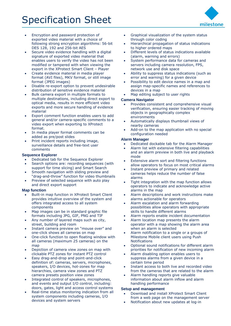

- Encryption and password protection of exported video material with a choice of following strong encryption algorithms: 56-bit DES 128, 192 and 256-bit AES
- Secure video evidence handling with a digital signature of exported video material that enables users to verify the video has not been modified or tampered with when viewing the export in the XProtect Smart Client – Player
- Create evidence material in media player format (AVI files), MKV format, or still image format (JPEG images)
- Disable re-export option to prevent undesirable distribution of sensitive evidence material
- Bulk camera export in multiple formats to multiple destinations, including direct export to optical media, results in more efficient video exports and more secure handling of evidence material
- Export comment function enables users to add general and/or camera-specific comments to a video export when exporting to XProtect format.
- In media player format comments can be added as pre/post slides
- Print incident reports including image, surveillance details and free-text user comments

#### **Sequence Explorer**

- Dedicated tab for the Sequence Explorer
- Search options are: recording sequences (with support for time slicing) and Smart Search
- Smooth navigation with sliding preview and "drag-and-throw" function for video thumbnails
- Preview of selected sequence with auto play and direct export support

#### **Map function**

- Built-in map function in XProtect Smart Client provides intuitive overview of the system and offers integrated access to all system components
- Map images can be in standard graphic file formats including JPG, GIF, PNG and TIF
- Any number of layered maps such as city, street, building and room
- Instant camera preview on "mouse over" and one-click shows all cameras on map
- One-click function to open floating window with all cameras (maximum 25 cameras) on the map
- Depiction of camera view zones on map with clickable PTZ zones for instant PTZ control
- Easy drag-and-drop and point-and-click definition of: cameras, servers, microphones, speakers, I/O devices, hot-zones for map hierarchies, camera view zones and PTZ camera presets position view zones
- Integrated control of speakers, microphones, and events and output I/O control, including: doors, gates, light and access control systems
- Real-time status monitoring indication from all system components including cameras, I/O devices and system servers
- Graphical visualization of the system status through color coding
- Hierarchical propagation of status indications to higher ordered maps
- Different levels of status indications available (alarm, warning and errors)
- System performance data for cameras and servers including camera resolution, FPS, network use and disk space
- Ability to suppress status indications (such as error and warning) for a given device
- Possibility to edit device names in a map and assign map-specific names and references to devices in a map
- Map editing subject to user rights

#### **Camera Navigator**

- Provides consistent and comprehensive visual verification, ensuring easier tracking of moving objects in geographically complex environments
- Automatically displays thumbnail views of nearby cameras
- Add-on to the map application with no special configuration needed

#### **Alarm Manager**

- Dedicated dockable tab for the Alarm Manager
- Alarm list with extensive filtering capabilities and an alarm preview in both live and playback mode
- Extensive alarm sort and filtering functions allow operators to focus on most critical alarms
- Instant preview of primary and related cameras helps reduce the number of false alarms
- Tight integration with the map function allows operators to indicate and acknowledge active alarms in the map
- Alarm descriptions and work instructions make alarms actionable for operators
- Alarm escalation and alarm forwarding possibilities allow operators with appropriate skills to handle different alarms
- Alarm reports enable incident documentation
- Alarm location map presents the alarm operator with a map showing the alarm area when an alarm is selected
- Alarm notification to a single or a groups of Milestone Mobile client users using Push **Notifications**
- Optional sound notifications for different alarm priorities for notification of new incoming alarm
- Alarm disabling option enables users to suppress alarms from a given device in a certain time period
- Instant access to both live and recorded video from the cameras that are related to the alarm
- Alarm handling reports give valuable information about alarm inflow and alarm handling performance

#### **Setup and management**

- Download and install XProtect Smart Client from a web page on the management server
- Notification about new updates at log-in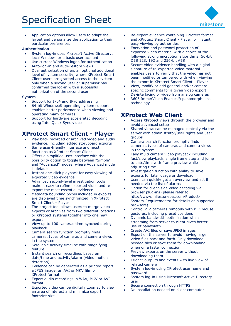

• Application options allow users to adapt the layout and personalize the application to their particular preferences

#### **Authentication**

- System log-in uses Microsoft Active Directory, local Windows or a basic user account
- Use current Windows logon for authentication
- Auto-log-in and auto-restore views
- Dual authorization offers an optional additional level of system security, where XProtect Smart Client users are granted access to the system only when a second user or supervisor has confirmed the log-in with a successful authorization of the second user

#### **System**

- Support for IPv4 and IPv6 addressing
- 64-bit Windows® operating system support enables better performance when viewing and operating many cameras
- Support for hardware accelerated decoding using Intel Quick Sync video

## <span id="page-9-0"></span>**XProtect Smart Client - Player**

- Play back recorded or archived video and audio evidence, including edited storyboard exports
- Same user-friendly interface and most functions as XProtect Smart Client
- Offers a simplified user interface with the possibility option to toggle between "Simple" and "Advanced" modes, where Advanced mode is default
- Instant one-click playback for easy viewing of exported video evidence
- Advanced second-level investigation tools make it easy to refine exported video and reexport the most essential evidence
- Metadata bounding boxes included in exports are displayed time synchronized in XProtect Smart Client – Player
- The project tool allows users to merge video exports or archives from two different locations or XProtect systems together into one new export
- View up to 100 cameras time-synched during playback
- Camera search function promptly finds cameras, types of cameras and camera views in the system
- Scrollable activity timeline with magnifying feature
- Instant search on recordings based on date/time and activity/alarm (video motion detection)
- Evidence can be generated as a printed report, a JPEG image, an AVI or MKV film or in XProtect format
- Export audio recordings in WAV, MKV or AVI format
- Exported video can be digitally zoomed to view an area of interest and minimize export footprint size
- Re-export evidence containing XProtect format and XProtect Smart Client - Player for instant, easy viewing by authorities
- Encryption and password protection of exported video material with a choice of the following strong encryption algorithms: 56-bit DES 128, 192 and 256-bit AES
- Secure video evidence handling with a digital signature of re-exported video material enables users to verify that the video has not been modified or tampered with when viewing the export in XProtect Smart Client – Player
- View, modify or add general and/or cameraspecific comments for a given video export
- De-interlacing of video from analog cameras
- 360° ImmerVision Enables® panomorph lens technology

### <span id="page-9-1"></span>**XProtect Web Client**

- Access XProtect views through the browser and avoid advanced setup
- Shared views can be managed centrally via the server with administrator/user rights and user groups
- Camera search function promptly finds cameras, types of cameras and camera views in the system
- Easy multi camera video playback including fast/slow playback, single frame step and jump to date/time with frame preview while adjusting time
- Investigation function with ability to save exports for later usage or download
- Users can quickly get an overview and act if needed via the list of alarms
- Option for client-side video decoding via browser plug-ins (please refer to [http://www.milestonesys.com/Product-](http://www.milestonesys.com/Product-System-Requirements/)[System-Requirements/](http://www.milestonesys.com/Product-System-Requirements/) for details on supported browsers)
- Control PTZ cameras remotely with PTZ mouse gestures, including preset positions
- Dynamic bandwidth optimization when streaming from server to client gives better use of bandwidth
- Create AVI files or save JPEG images
- Export on the server to avoid moving large video files back and forth. Only download needed files or save them for downloading when on a faster connection
- Preview exports on the server without downloading them
- Trigger outputs and events with live view of related camera
- System log-in using XProtect user name and password
- System log-in using Microsoft Active Directory user
- Secure connection through HTTPS
- No installation needed on client computer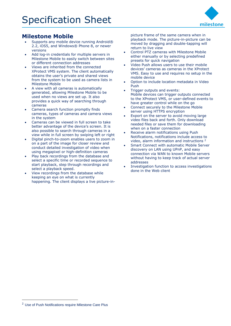

## <span id="page-10-0"></span>**Milestone Mobile**

- Supports any mobile device running Android® 2.2, iOS5, and Windows® Phone 8, or newer versions
- Add log-in credentials for multiple servers in Milestone Mobile to easily switch between sites or different connection addresses
- Views are inherited from the connected XProtect VMS system. The client automatically obtains the user's private and shared views from the system to be used as camera lists in Milestone Mobile
- A view with all cameras is automatically generated, allowing Milestone Mobile to be used when no views are set up. It also provides a quick way of searching through cameras
- Camera search function promptly finds cameras, types of cameras and camera views in the system
- Cameras can be viewed in full screen to take better advantage of the device's screen. It is also possible to search through cameras in a view while in full screen by swiping left or right
- Digital pinch-to-zoom enables users to zoom in on a part of the image for closer review and conduct detailed investigation of video when using megapixel or high-definition cameras
- Play back recordings from the database and select a specific time or recorded sequence to start playback, step through recordings and select a playback speed.
- View recordings from the database while keeping an eye on what is currently happening. The client displays a live picture-in-

picture frame of the same camera when in playback mode. The picture-in-picture can be moved by dragging and double-tapping will return to live view

- Control PTZ cameras with Milestone Mobile either manually or by selecting predefined presets for quick navigation
- Video Push allows users to use their mobile devices' cameras as cameras in the XProtect VMS. Easy to use and requires no setup in the mobile device
- Option to include location metadata in Video Push
- Trigger outputs and events: Mobile devices can trigger outputs connected to the XProtect VMS, or user-defined events to have greater control while on the go
- Connect securely to the Milestone Mobile server using HTTPS encryption
- Export on the server to avoid moving large video files back and forth. Only download needed files or save them for downloading when on a faster connection
- Receive alarm notifications using Push Notifications, notifications include access to video, alarm information and instructions <sup>2</sup>
- Smart Connect with automatic Mobile Server discovery on LAN using UPnP, and easy connection via WAN to known Mobile servers without having to keep track of actual server addresses
- Investigation function to access investigations done in the Web client

-

<sup>2</sup> Use of Push Notifications require Milestone Care Plus